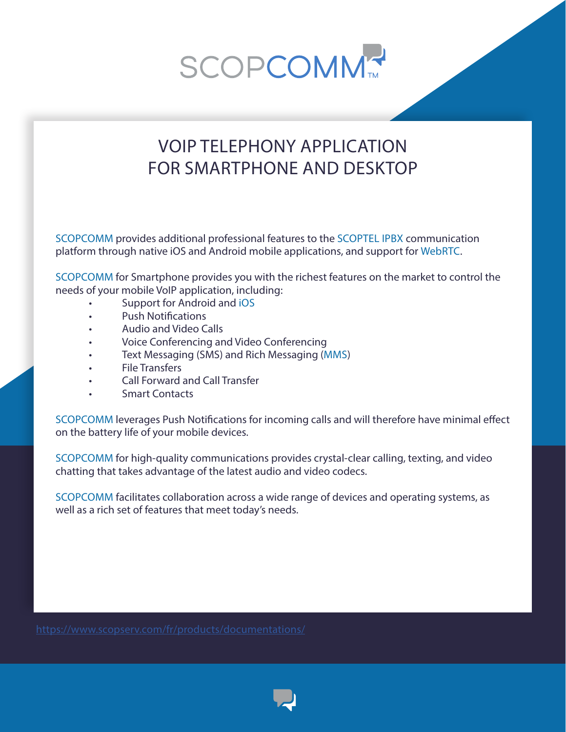**SCOPCOMM** 

## VOIP TELEPHONY APPLICATION FOR SMARTPHONE AND DESKTOP

SCOPCOMM provides additional professional features to the SCOPTEL IPBX communication platform through native iOS and Android mobile applications, and support for WebRTC.

SCOPCOMM for Smartphone provides you with the richest features on the market to control the needs of your mobile VoIP application, including:

- Support for Android and iOS
- Push Notifications
- Audio and Video Calls
- Voice Conferencing and Video Conferencing
- Text Messaging (SMS) and Rich Messaging (MMS)
- File Transfers
- Call Forward and Call Transfer
- Smart Contacts

SCOPCOMM leverages Push Notifications for incoming calls and will therefore have minimal effect on the battery life of your mobile devices.

SCOPCOMM for high-quality communications provides crystal-clear calling, texting, and video chatting that takes advantage of the latest audio and video codecs.

SCOPCOMM facilitates collaboration across a wide range of devices and operating systems, as well as a rich set of features that meet today's needs.